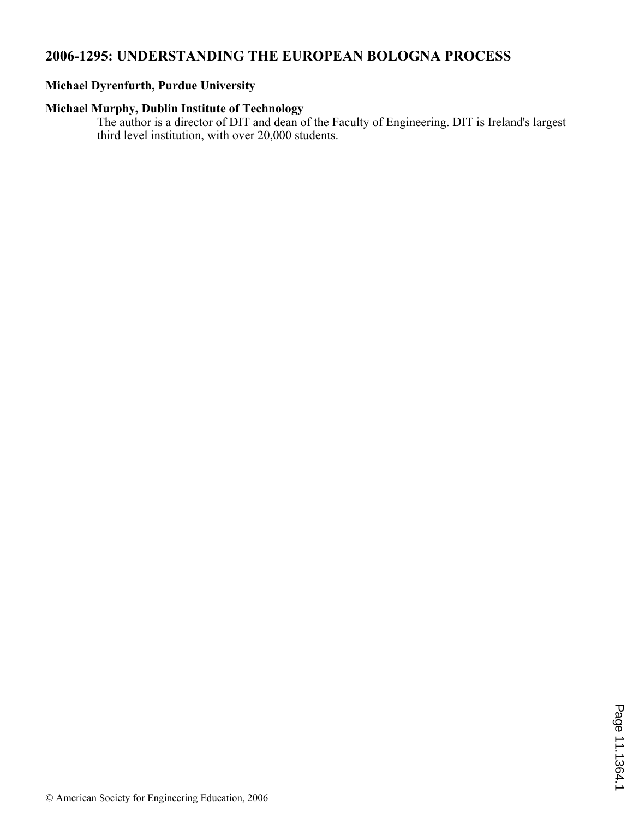# **2006-1295: UNDERSTANDING THE EUROPEAN BOLOGNA PROCESS**

## **Michael Dyrenfurth, Purdue University**

## **Michael Murphy, Dublin Institute of Technology**

The author is a director of DIT and dean of the Faculty of Engineering. DIT is Ireland's largest third level institution, with over 20,000 students.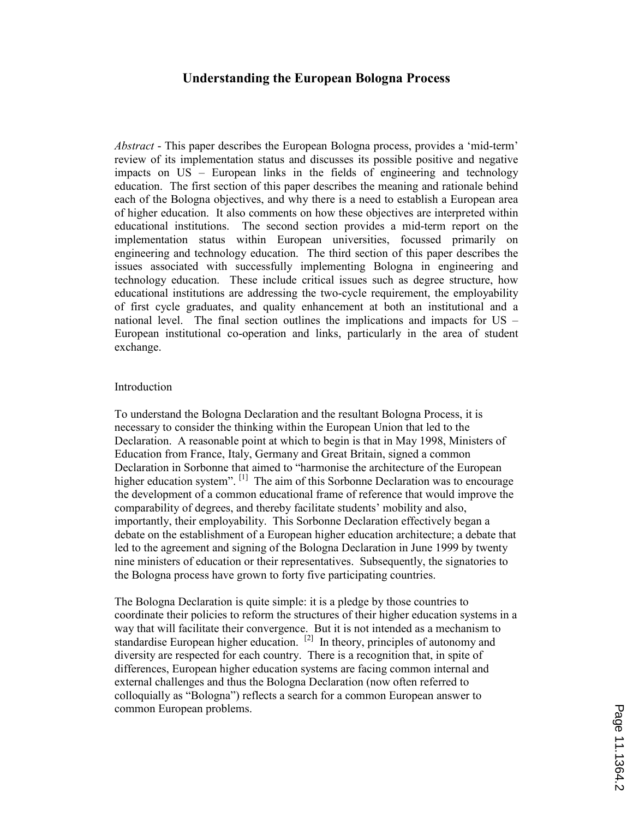### Understanding the European Bologna Process

Abstract - This paper describes the European Bologna process, provides a 'mid-term' review of its implementation status and discusses its possible positive and negative impacts on US – European links in the fields of engineering and technology education. The first section of this paper describes the meaning and rationale behind each of the Bologna objectives, and why there is a need to establish a European area of higher education. It also comments on how these objectives are interpreted within educational institutions. The second section provides a mid-term report on the implementation status within European universities, focussed primarily on engineering and technology education. The third section of this paper describes the issues associated with successfully implementing Bologna in engineering and technology education. These include critical issues such as degree structure, how educational institutions are addressing the two-cycle requirement, the employability of first cycle graduates, and quality enhancement at both an institutional and a national level. The final section outlines the implications and impacts for US – European institutional co-operation and links, particularly in the area of student exchange.

#### Introduction

To understand the Bologna Declaration and the resultant Bologna Process, it is necessary to consider the thinking within the European Union that led to the Declaration. A reasonable point at which to begin is that in May 1998, Ministers of Education from France, Italy, Germany and Great Britain, signed a common Declaration in Sorbonne that aimed to "harmonise the architecture of the European higher education system".<sup>[1]</sup> The aim of this Sorbonne Declaration was to encourage the development of a common educational frame of reference that would improve the comparability of degrees, and thereby facilitate students' mobility and also, importantly, their employability. This Sorbonne Declaration effectively began a debate on the establishment of a European higher education architecture; a debate that led to the agreement and signing of the Bologna Declaration in June 1999 by twenty nine ministers of education or their representatives. Subsequently, the signatories to the Bologna process have grown to forty five participating countries.

The Bologna Declaration is quite simple: it is a pledge by those countries to coordinate their policies to reform the structures of their higher education systems in a way that will facilitate their convergence. But it is not intended as a mechanism to standardise European higher education. <sup>[2]</sup> In theory, principles of autonomy and diversity are respected for each country. There is a recognition that, in spite of differences, European higher education systems are facing common internal and external challenges and thus the Bologna Declaration (now often referred to colloquially as "Bologna") reflects a search for a common European answer to common European problems.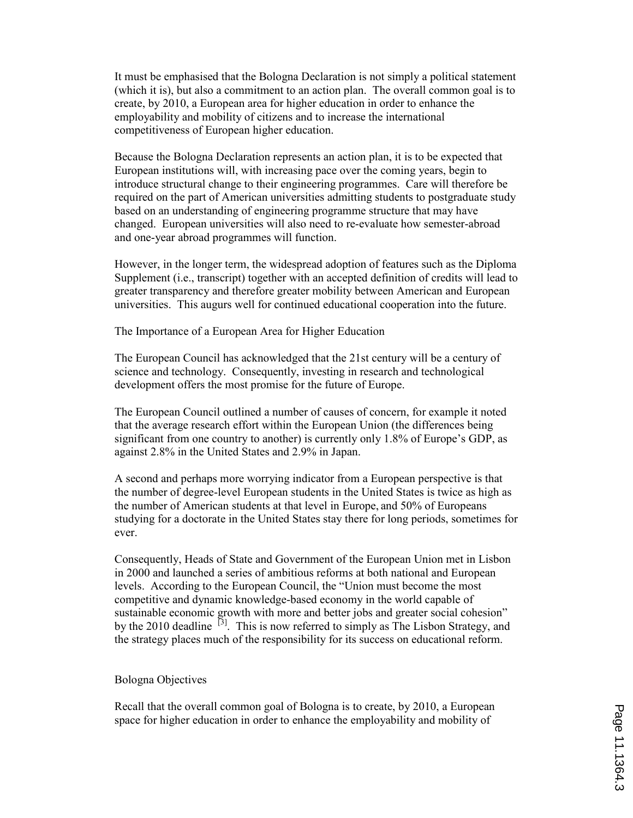It must be emphasised that the Bologna Declaration is not simply a political statement (which it is), but also a commitment to an action plan. The overall common goal is to create, by 2010, a European area for higher education in order to enhance the employability and mobility of citizens and to increase the international competitiveness of European higher education.

Because the Bologna Declaration represents an action plan, it is to be expected that European institutions will, with increasing pace over the coming years, begin to introduce structural change to their engineering programmes. Care will therefore be required on the part of American universities admitting students to postgraduate study based on an understanding of engineering programme structure that may have changed. European universities will also need to re-evaluate how semester-abroad and one-year abroad programmes will function.

However, in the longer term, the widespread adoption of features such as the Diploma Supplement (i.e., transcript) together with an accepted definition of credits will lead to greater transparency and therefore greater mobility between American and European universities. This augurs well for continued educational cooperation into the future.

The Importance of a European Area for Higher Education

The European Council has acknowledged that the 21st century will be a century of science and technology. Consequently, investing in research and technological development offers the most promise for the future of Europe.

The European Council outlined a number of causes of concern, for example it noted that the average research effort within the European Union (the differences being significant from one country to another) is currently only 1.8% of Europe's GDP, as against 2.8% in the United States and 2.9% in Japan.

A second and perhaps more worrying indicator from a European perspective is that the number of degree-level European students in the United States is twice as high as the number of American students at that level in Europe, and 50% of Europeans studying for a doctorate in the United States stay there for long periods, sometimes for ever.

Consequently, Heads of State and Government of the European Union met in Lisbon in 2000 and launched a series of ambitious reforms at both national and European levels. According to the European Council, the "Union must become the most competitive and dynamic knowledge-based economy in the world capable of sustainable economic growth with more and better jobs and greater social cohesion" by the 2010 deadline  $[3]$ . This is now referred to simply as The Lisbon Strategy, and the strategy places much of the responsibility for its success on educational reform.

### Bologna Objectives

Recall that the overall common goal of Bologna is to create, by 2010, a European space for higher education in order to enhance the employability and mobility of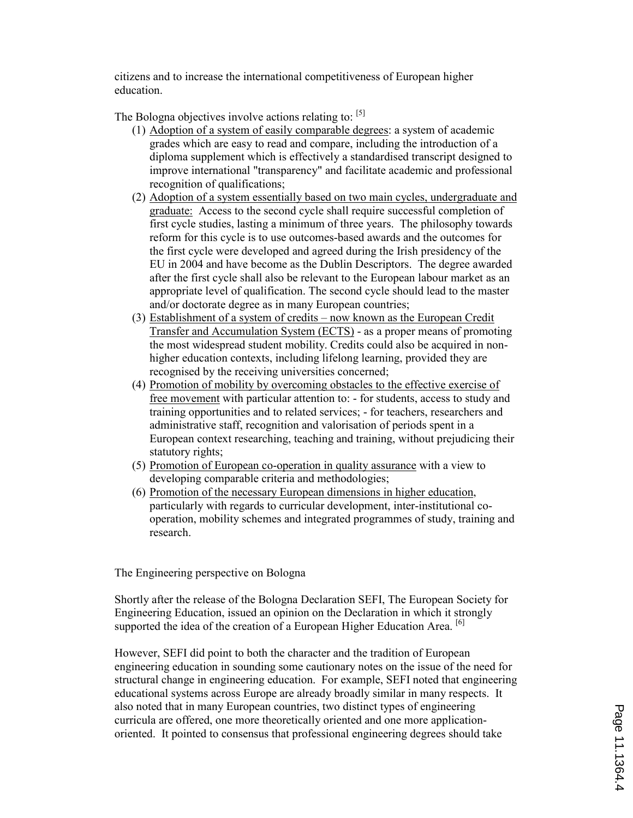citizens and to increase the international competitiveness of European higher education.

The Bologna objectives involve actions relating to:  $[5]$ 

- (1) Adoption of a system of easily comparable degrees: a system of academic grades which are easy to read and compare, including the introduction of a diploma supplement which is effectively a standardised transcript designed to improve international "transparency" and facilitate academic and professional recognition of qualifications;
- (2) Adoption of a system essentially based on two main cycles, undergraduate and graduate: Access to the second cycle shall require successful completion of first cycle studies, lasting a minimum of three years. The philosophy towards reform for this cycle is to use outcomes-based awards and the outcomes for the first cycle were developed and agreed during the Irish presidency of the EU in 2004 and have become as the Dublin Descriptors. The degree awarded after the first cycle shall also be relevant to the European labour market as an appropriate level of qualification. The second cycle should lead to the master and/or doctorate degree as in many European countries;
- (3) Establishment of a system of credits now known as the European Credit Transfer and Accumulation System (ECTS) - as a proper means of promoting the most widespread student mobility. Credits could also be acquired in nonhigher education contexts, including lifelong learning, provided they are recognised by the receiving universities concerned;
- (4) Promotion of mobility by overcoming obstacles to the effective exercise of free movement with particular attention to: - for students, access to study and training opportunities and to related services; - for teachers, researchers and administrative staff, recognition and valorisation of periods spent in a European context researching, teaching and training, without prejudicing their statutory rights;
- (5) Promotion of European co-operation in quality assurance with a view to developing comparable criteria and methodologies;
- (6) Promotion of the necessary European dimensions in higher education, particularly with regards to curricular development, inter-institutional cooperation, mobility schemes and integrated programmes of study, training and research.

The Engineering perspective on Bologna

Shortly after the release of the Bologna Declaration SEFI, The European Society for Engineering Education, issued an opinion on the Declaration in which it strongly supported the idea of the creation of a European Higher Education Area.  $\frac{16}{12}$ 

However, SEFI did point to both the character and the tradition of European engineering education in sounding some cautionary notes on the issue of the need for structural change in engineering education. For example, SEFI noted that engineering educational systems across Europe are already broadly similar in many respects. It also noted that in many European countries, two distinct types of engineering curricula are offered, one more theoretically oriented and one more applicationoriented. It pointed to consensus that professional engineering degrees should take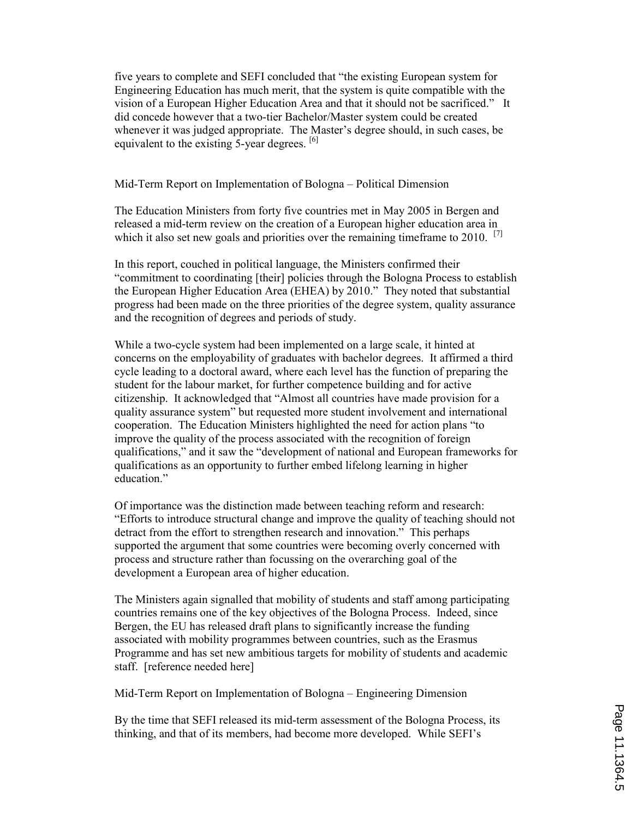five years to complete and SEFI concluded that "the existing European system for Engineering Education has much merit, that the system is quite compatible with the vision of a European Higher Education Area and that it should not be sacrificed." It did concede however that a two-tier Bachelor/Master system could be created whenever it was judged appropriate. The Master's degree should, in such cases, be equivalent to the existing 5-year degrees. [6]

#### Mid-Term Report on Implementation of Bologna – Political Dimension

The Education Ministers from forty five countries met in May 2005 in Bergen and released a mid-term review on the creation of a European higher education area in which it also set new goals and priorities over the remaining timeframe to  $2010$ . <sup>[7]</sup>

In this report, couched in political language, the Ministers confirmed their "commitment to coordinating [their] policies through the Bologna Process to establish the European Higher Education Area (EHEA) by 2010." They noted that substantial progress had been made on the three priorities of the degree system, quality assurance and the recognition of degrees and periods of study.

While a two-cycle system had been implemented on a large scale, it hinted at concerns on the employability of graduates with bachelor degrees. It affirmed a third cycle leading to a doctoral award, where each level has the function of preparing the student for the labour market, for further competence building and for active citizenship. It acknowledged that "Almost all countries have made provision for a quality assurance system" but requested more student involvement and international cooperation. The Education Ministers highlighted the need for action plans "to improve the quality of the process associated with the recognition of foreign qualifications," and it saw the "development of national and European frameworks for qualifications as an opportunity to further embed lifelong learning in higher education."

Of importance was the distinction made between teaching reform and research: "Efforts to introduce structural change and improve the quality of teaching should not detract from the effort to strengthen research and innovation." This perhaps supported the argument that some countries were becoming overly concerned with process and structure rather than focussing on the overarching goal of the development a European area of higher education.

The Ministers again signalled that mobility of students and staff among participating countries remains one of the key objectives of the Bologna Process. Indeed, since Bergen, the EU has released draft plans to significantly increase the funding associated with mobility programmes between countries, such as the Erasmus Programme and has set new ambitious targets for mobility of students and academic staff. [reference needed here]

Mid-Term Report on Implementation of Bologna – Engineering Dimension

By the time that SEFI released its mid-term assessment of the Bologna Process, its thinking, and that of its members, had become more developed. While SEFI's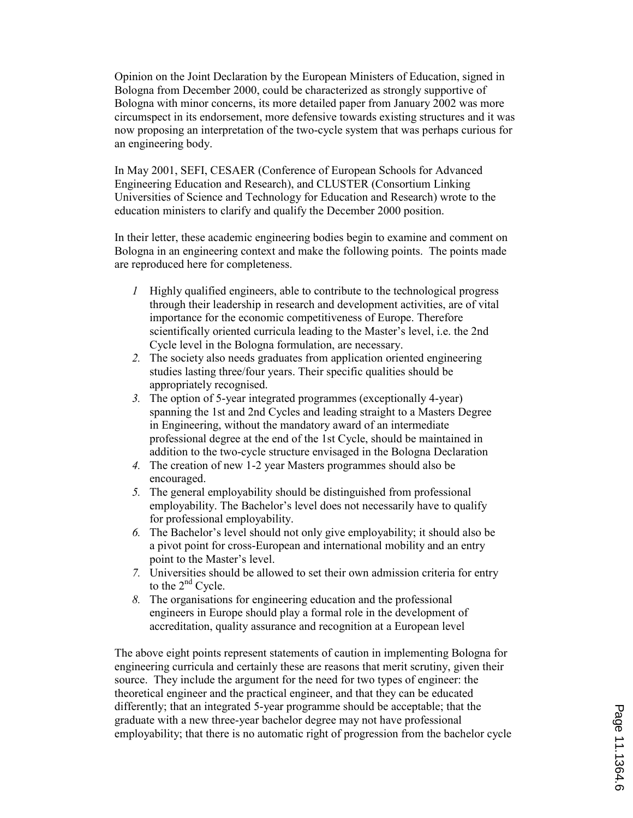Opinion on the Joint Declaration by the European Ministers of Education, signed in Bologna from December 2000, could be characterized as strongly supportive of Bologna with minor concerns, its more detailed paper from January 2002 was more circumspect in its endorsement, more defensive towards existing structures and it was now proposing an interpretation of the two-cycle system that was perhaps curious for an engineering body.

In May 2001, SEFI, CESAER (Conference of European Schools for Advanced Engineering Education and Research), and CLUSTER (Consortium Linking Universities of Science and Technology for Education and Research) wrote to the education ministers to clarify and qualify the December 2000 position.

In their letter, these academic engineering bodies begin to examine and comment on Bologna in an engineering context and make the following points. The points made are reproduced here for completeness.

- 1 Highly qualified engineers, able to contribute to the technological progress through their leadership in research and development activities, are of vital importance for the economic competitiveness of Europe. Therefore scientifically oriented curricula leading to the Master's level, i.e. the 2nd Cycle level in the Bologna formulation, are necessary.
- 2. The society also needs graduates from application oriented engineering studies lasting three/four years. Their specific qualities should be appropriately recognised.
- 3. The option of 5-year integrated programmes (exceptionally 4-year) spanning the 1st and 2nd Cycles and leading straight to a Masters Degree in Engineering, without the mandatory award of an intermediate professional degree at the end of the 1st Cycle, should be maintained in addition to the two-cycle structure envisaged in the Bologna Declaration
- 4. The creation of new 1-2 year Masters programmes should also be encouraged.
- 5. The general employability should be distinguished from professional employability. The Bachelor's level does not necessarily have to qualify for professional employability.
- 6. The Bachelor's level should not only give employability; it should also be a pivot point for cross-European and international mobility and an entry point to the Master's level.
- 7. Universities should be allowed to set their own admission criteria for entry to the  $2<sup>nd</sup>$  Cycle.
- 8. The organisations for engineering education and the professional engineers in Europe should play a formal role in the development of accreditation, quality assurance and recognition at a European level

The above eight points represent statements of caution in implementing Bologna for engineering curricula and certainly these are reasons that merit scrutiny, given their source. They include the argument for the need for two types of engineer: the theoretical engineer and the practical engineer, and that they can be educated differently; that an integrated 5-year programme should be acceptable; that the graduate with a new three-year bachelor degree may not have professional employability; that there is no automatic right of progression from the bachelor cycle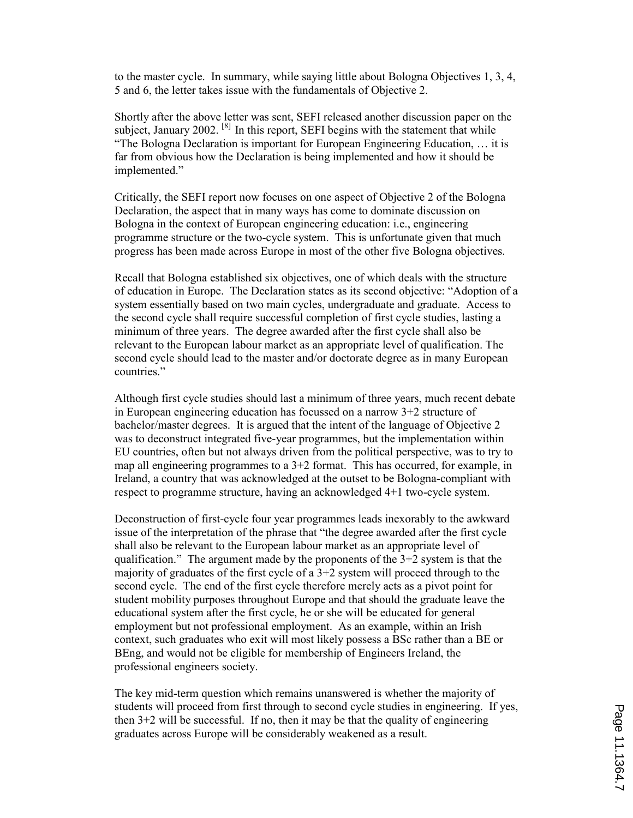to the master cycle. In summary, while saying little about Bologna Objectives 1, 3, 4, 5 and 6, the letter takes issue with the fundamentals of Objective 2.

Shortly after the above letter was sent, SEFI released another discussion paper on the subject, January 2002.  $[8]$  In this report, SEFI begins with the statement that while "The Bologna Declaration is important for European Engineering Education, … it is far from obvious how the Declaration is being implemented and how it should be implemented."

Critically, the SEFI report now focuses on one aspect of Objective 2 of the Bologna Declaration, the aspect that in many ways has come to dominate discussion on Bologna in the context of European engineering education: i.e., engineering programme structure or the two-cycle system. This is unfortunate given that much progress has been made across Europe in most of the other five Bologna objectives.

Recall that Bologna established six objectives, one of which deals with the structure of education in Europe. The Declaration states as its second objective: "Adoption of a system essentially based on two main cycles, undergraduate and graduate. Access to the second cycle shall require successful completion of first cycle studies, lasting a minimum of three years. The degree awarded after the first cycle shall also be relevant to the European labour market as an appropriate level of qualification. The second cycle should lead to the master and/or doctorate degree as in many European countries."

Although first cycle studies should last a minimum of three years, much recent debate in European engineering education has focussed on a narrow 3+2 structure of bachelor/master degrees. It is argued that the intent of the language of Objective 2 was to deconstruct integrated five-year programmes, but the implementation within EU countries, often but not always driven from the political perspective, was to try to map all engineering programmes to a  $3+2$  format. This has occurred, for example, in Ireland, a country that was acknowledged at the outset to be Bologna-compliant with respect to programme structure, having an acknowledged 4+1 two-cycle system.

Deconstruction of first-cycle four year programmes leads inexorably to the awkward issue of the interpretation of the phrase that "the degree awarded after the first cycle shall also be relevant to the European labour market as an appropriate level of qualification." The argument made by the proponents of the  $3+2$  system is that the majority of graduates of the first cycle of a  $3+2$  system will proceed through to the second cycle. The end of the first cycle therefore merely acts as a pivot point for student mobility purposes throughout Europe and that should the graduate leave the educational system after the first cycle, he or she will be educated for general employment but not professional employment. As an example, within an Irish context, such graduates who exit will most likely possess a BSc rather than a BE or BEng, and would not be eligible for membership of Engineers Ireland, the professional engineers society.

The key mid-term question which remains unanswered is whether the majority of students will proceed from first through to second cycle studies in engineering. If yes, then 3+2 will be successful. If no, then it may be that the quality of engineering graduates across Europe will be considerably weakened as a result.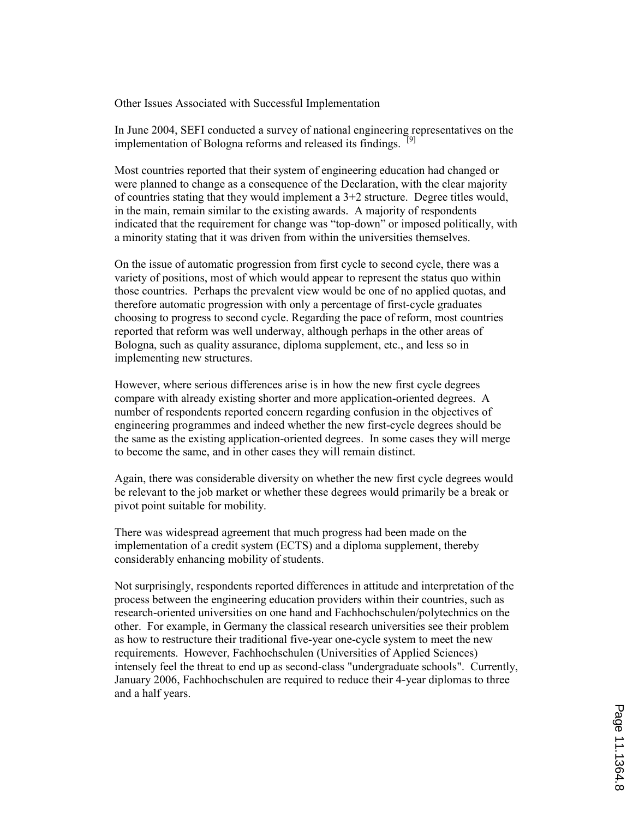Other Issues Associated with Successful Implementation

In June 2004, SEFI conducted a survey of national engineering representatives on the implementation of Bologna reforms and released its findings. <sup>[9]</sup>

Most countries reported that their system of engineering education had changed or were planned to change as a consequence of the Declaration, with the clear majority of countries stating that they would implement a 3+2 structure. Degree titles would, in the main, remain similar to the existing awards. A majority of respondents indicated that the requirement for change was "top-down" or imposed politically, with a minority stating that it was driven from within the universities themselves.

On the issue of automatic progression from first cycle to second cycle, there was a variety of positions, most of which would appear to represent the status quo within those countries. Perhaps the prevalent view would be one of no applied quotas, and therefore automatic progression with only a percentage of first-cycle graduates choosing to progress to second cycle. Regarding the pace of reform, most countries reported that reform was well underway, although perhaps in the other areas of Bologna, such as quality assurance, diploma supplement, etc., and less so in implementing new structures.

However, where serious differences arise is in how the new first cycle degrees compare with already existing shorter and more application-oriented degrees. A number of respondents reported concern regarding confusion in the objectives of engineering programmes and indeed whether the new first-cycle degrees should be the same as the existing application-oriented degrees. In some cases they will merge to become the same, and in other cases they will remain distinct.

Again, there was considerable diversity on whether the new first cycle degrees would be relevant to the job market or whether these degrees would primarily be a break or pivot point suitable for mobility.

There was widespread agreement that much progress had been made on the implementation of a credit system (ECTS) and a diploma supplement, thereby considerably enhancing mobility of students.

Not surprisingly, respondents reported differences in attitude and interpretation of the process between the engineering education providers within their countries, such as research-oriented universities on one hand and Fachhochschulen/polytechnics on the other. For example, in Germany the classical research universities see their problem as how to restructure their traditional five-year one-cycle system to meet the new requirements. However, Fachhochschulen (Universities of Applied Sciences) intensely feel the threat to end up as second-class "undergraduate schools". Currently, January 2006, Fachhochschulen are required to reduce their 4-year diplomas to three and a half years.